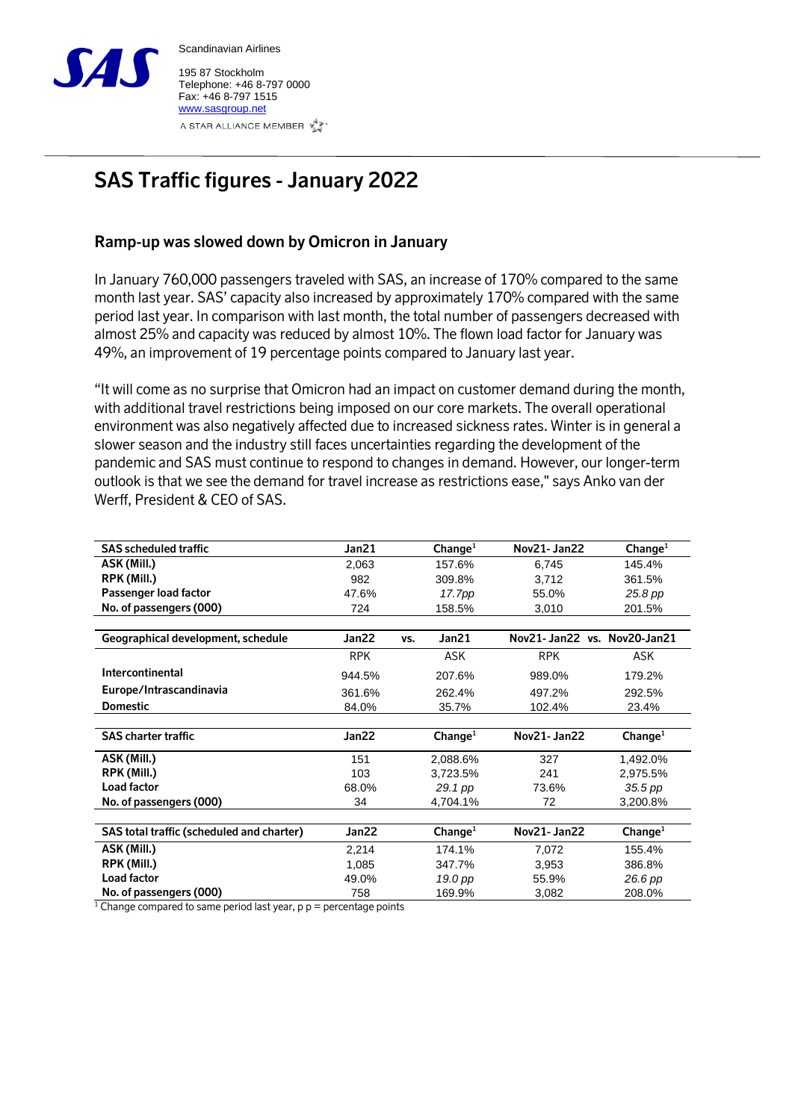

Scandinavian Airlines 195 87 Stockholm

Telephone: +46 8-797 0000 Fax: +46 8-797 1515 [www.sasgroup.net](http://www.sasgroup.net/) A STAR ALLIANCE MEMBER

## **SAS Traffic figures - January 2022**

## **Ramp-up was slowed down by Omicron in January**

In January 760,000 passengers traveled with SAS, an increase of 170% compared to the same month last year. SAS' capacity also increased by approximately 170% compared with the same period last year. In comparison with last month, the total number of passengers decreased with almost 25% and capacity was reduced by almost 10%. The flown load factor for January was 49%, an improvement of 19 percentage points compared to January last year.

"It will come as no surprise that Omicron had an impact on customer demand during the month, with additional travel restrictions being imposed on our core markets. The overall operational environment was also negatively affected due to increased sickness rates. Winter is in general a slower season and the industry still faces uncertainties regarding the development of the pandemic and SAS must continue to respond to changes in demand. However, our longer-term outlook is that we see the demand for travel increase as restrictions ease," says Anko van der Werff, President & CEO of SAS.

| <b>SAS scheduled traffic</b>                                          | Jan21      |     | Change <sup>1</sup> | <b>Nov21-Jan22</b>          | Change <sup>1</sup> |
|-----------------------------------------------------------------------|------------|-----|---------------------|-----------------------------|---------------------|
| ASK (Mill.)                                                           | 2,063      |     | 157.6%              | 6,745                       | 145.4%              |
| RPK (Mill.)                                                           | 982        |     | 309.8%              | 3,712                       | 361.5%              |
| Passenger load factor                                                 | 47.6%      |     | 17.7pp              | 55.0%                       | 25.8 pp             |
| No. of passengers (000)                                               | 724        |     | 158.5%              | 3,010                       | 201.5%              |
|                                                                       |            |     |                     |                             |                     |
| Geographical development, schedule                                    | Jan22      | VS. | Jan21               | Nov21-Jan22 vs. Nov20-Jan21 |                     |
|                                                                       | <b>RPK</b> |     | ASK                 | <b>RPK</b>                  | ASK                 |
| Intercontinental                                                      | 944.5%     |     | 207.6%              | 989.0%                      | 179.2%              |
| Europe/Intrascandinavia                                               | 361.6%     |     | 262.4%              | 497.2%                      | 292.5%              |
| <b>Domestic</b>                                                       | 84.0%      |     | 35.7%               | 102.4%                      | 23.4%               |
|                                                                       |            |     |                     |                             |                     |
| <b>SAS charter traffic</b>                                            | Jan22      |     | Change <sup>1</sup> | Nov21- Jan22                | Change <sup>1</sup> |
| ASK (Mill.)                                                           | 151        |     | 2,088.6%            | 327                         | 1,492.0%            |
| RPK (Mill.)                                                           | 103        |     | 3,723.5%            | 241                         | 2,975.5%            |
| Load factor                                                           | 68.0%      |     | 29.1 pp             | 73.6%                       | 35.5 pp             |
| No. of passengers (000)                                               | 34         |     | 4,704.1%            | 72                          | 3,200.8%            |
|                                                                       |            |     |                     |                             |                     |
| SAS total traffic (scheduled and charter)                             | Jan22      |     | Change <sup>1</sup> | Nov21-Jan22                 | Change <sup>1</sup> |
| ASK (Mill.)                                                           | 2,214      |     | 174.1%              | 7,072                       | 155.4%              |
| RPK (Mill.)                                                           | 1,085      |     | 347.7%              | 3,953                       | 386.8%              |
| Load factor                                                           | 49.0%      |     | 19.0 pp             | 55.9%                       | 26.6 pp             |
| No. of passengers (000)<br>$1 - 1$<br>$\cdot$ $\cdot$ $\cdot$ $\cdot$ | 758        |     | 169.9%              | 3,082                       | 208.0%              |

<sup>1</sup> Change compared to same period last year,  $p p =$  percentage points